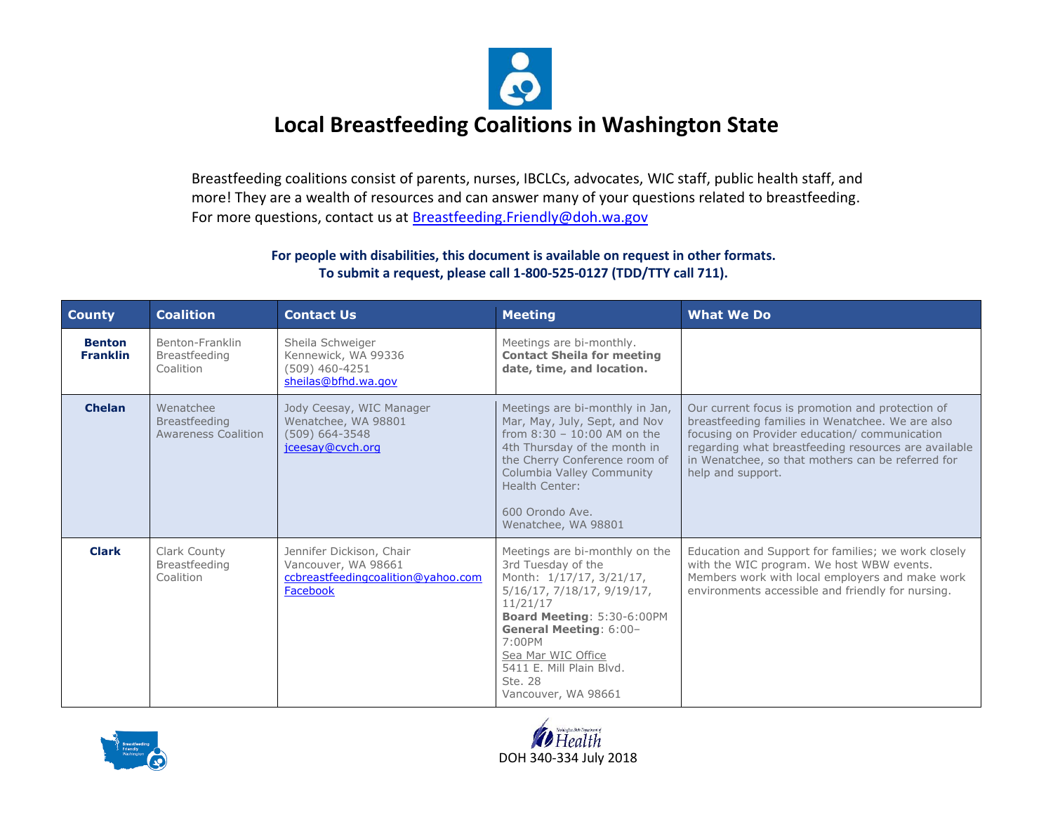

Breastfeeding coalitions consist of parents, nurses, IBCLCs, advocates, WIC staff, public health staff, and more! They are a wealth of resources and can answer many of your questions related to breastfeeding. For more questions, contact us at Breastfeeding. Friendly@doh.wa.gov

| <b>County</b>                    | <b>Coalition</b>                                                | <b>Contact Us</b>                                                                                 | <b>Meeting</b>                                                                                                                                                                                                                                                                          | <b>What We Do</b>                                                                                                                                                                                                                                                                       |
|----------------------------------|-----------------------------------------------------------------|---------------------------------------------------------------------------------------------------|-----------------------------------------------------------------------------------------------------------------------------------------------------------------------------------------------------------------------------------------------------------------------------------------|-----------------------------------------------------------------------------------------------------------------------------------------------------------------------------------------------------------------------------------------------------------------------------------------|
| <b>Benton</b><br><b>Franklin</b> | Benton-Franklin<br><b>Breastfeeding</b><br>Coalition            | Sheila Schweiger<br>Kennewick, WA 99336<br>$(509)$ 460-4251<br>sheilas@bfhd.wa.gov                | Meetings are bi-monthly.<br><b>Contact Sheila for meeting</b><br>date, time, and location.                                                                                                                                                                                              |                                                                                                                                                                                                                                                                                         |
| <b>Chelan</b>                    | Wenatchee<br><b>Breastfeeding</b><br><b>Awareness Coalition</b> | Jody Ceesay, WIC Manager<br>Wenatchee, WA 98801<br>$(509) 664 - 3548$<br>jceesay@cvch.org         | Meetings are bi-monthly in Jan,<br>Mar, May, July, Sept, and Nov<br>from $8:30 - 10:00$ AM on the<br>4th Thursday of the month in<br>the Cherry Conference room of<br>Columbia Valley Community<br>Health Center:<br>600 Orondo Ave.<br>Wenatchee, WA 98801                             | Our current focus is promotion and protection of<br>breastfeeding families in Wenatchee. We are also<br>focusing on Provider education/ communication<br>regarding what breastfeeding resources are available<br>in Wenatchee, so that mothers can be referred for<br>help and support. |
| <b>Clark</b>                     | Clark County<br><b>Breastfeeding</b><br>Coalition               | Jennifer Dickison, Chair<br>Vancouver, WA 98661<br>ccbreastfeedingcoalition@yahoo.com<br>Facebook | Meetings are bi-monthly on the<br>3rd Tuesday of the<br>Month: 1/17/17, 3/21/17,<br>5/16/17, 7/18/17, 9/19/17,<br>11/21/17<br>Board Meeting: 5:30-6:00PM<br><b>General Meeting: 6:00-</b><br>7:00PM<br>Sea Mar WIC Office<br>5411 E. Mill Plain Blvd.<br>Ste. 28<br>Vancouver, WA 98661 | Education and Support for families; we work closely<br>with the WIC program. We host WBW events.<br>Members work with local employers and make work<br>environments accessible and friendly for nursing.                                                                                |



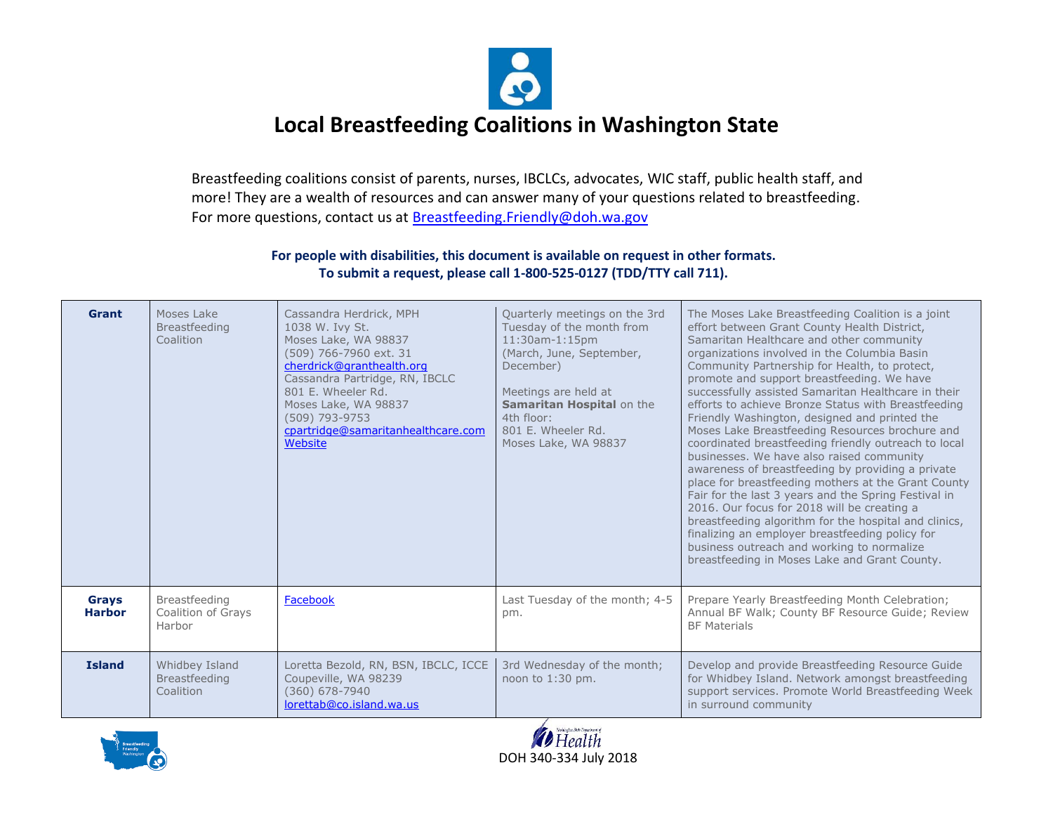

Breastfeeding coalitions consist of parents, nurses, IBCLCs, advocates, WIC staff, public health staff, and more! They are a wealth of resources and can answer many of your questions related to breastfeeding. For more questions, contact us at Breastfeeding. Friendly@doh.wa.gov

| <b>Grant</b>                  | Moses Lake<br><b>Breastfeeding</b><br>Coalition     | Cassandra Herdrick, MPH<br>1038 W. Ivy St.<br>Moses Lake, WA 98837<br>(509) 766-7960 ext. 31<br>cherdrick@granthealth.org<br>Cassandra Partridge, RN, IBCLC<br>801 E. Wheeler Rd.<br>Moses Lake, WA 98837<br>(509) 793-9753<br>cpartridge@samaritanhealthcare.com<br>Website | Quarterly meetings on the 3rd<br>Tuesday of the month from<br>11:30am-1:15pm<br>(March, June, September,<br>December)<br>Meetings are held at<br>Samaritan Hospital on the<br>4th floor:<br>801 E. Wheeler Rd.<br>Moses Lake, WA 98837 | The Moses Lake Breastfeeding Coalition is a joint<br>effort between Grant County Health District,<br>Samaritan Healthcare and other community<br>organizations involved in the Columbia Basin<br>Community Partnership for Health, to protect,<br>promote and support breastfeeding. We have<br>successfully assisted Samaritan Healthcare in their<br>efforts to achieve Bronze Status with Breastfeeding<br>Friendly Washington, designed and printed the<br>Moses Lake Breastfeeding Resources brochure and<br>coordinated breastfeeding friendly outreach to local<br>businesses. We have also raised community<br>awareness of breastfeeding by providing a private<br>place for breastfeeding mothers at the Grant County<br>Fair for the last 3 years and the Spring Festival in<br>2016. Our focus for 2018 will be creating a<br>breastfeeding algorithm for the hospital and clinics,<br>finalizing an employer breastfeeding policy for<br>business outreach and working to normalize<br>breastfeeding in Moses Lake and Grant County. |
|-------------------------------|-----------------------------------------------------|------------------------------------------------------------------------------------------------------------------------------------------------------------------------------------------------------------------------------------------------------------------------------|----------------------------------------------------------------------------------------------------------------------------------------------------------------------------------------------------------------------------------------|---------------------------------------------------------------------------------------------------------------------------------------------------------------------------------------------------------------------------------------------------------------------------------------------------------------------------------------------------------------------------------------------------------------------------------------------------------------------------------------------------------------------------------------------------------------------------------------------------------------------------------------------------------------------------------------------------------------------------------------------------------------------------------------------------------------------------------------------------------------------------------------------------------------------------------------------------------------------------------------------------------------------------------------------------|
| <b>Grays</b><br><b>Harbor</b> | Breastfeeding<br>Coalition of Grays<br>Harbor       | Facebook                                                                                                                                                                                                                                                                     | Last Tuesday of the month; 4-5<br>pm.                                                                                                                                                                                                  | Prepare Yearly Breastfeeding Month Celebration;<br>Annual BF Walk; County BF Resource Guide; Review<br><b>BF Materials</b>                                                                                                                                                                                                                                                                                                                                                                                                                                                                                                                                                                                                                                                                                                                                                                                                                                                                                                                        |
| <b>Island</b>                 | Whidbey Island<br><b>Breastfeeding</b><br>Coalition | Loretta Bezold, RN, BSN, IBCLC, ICCE<br>Coupeville, WA 98239<br>(360) 678-7940<br>lorettab@co.island.wa.us                                                                                                                                                                   | 3rd Wednesday of the month;<br>noon to 1:30 pm.                                                                                                                                                                                        | Develop and provide Breastfeeding Resource Guide<br>for Whidbey Island. Network amongst breastfeeding<br>support services. Promote World Breastfeeding Week<br>in surround community                                                                                                                                                                                                                                                                                                                                                                                                                                                                                                                                                                                                                                                                                                                                                                                                                                                              |



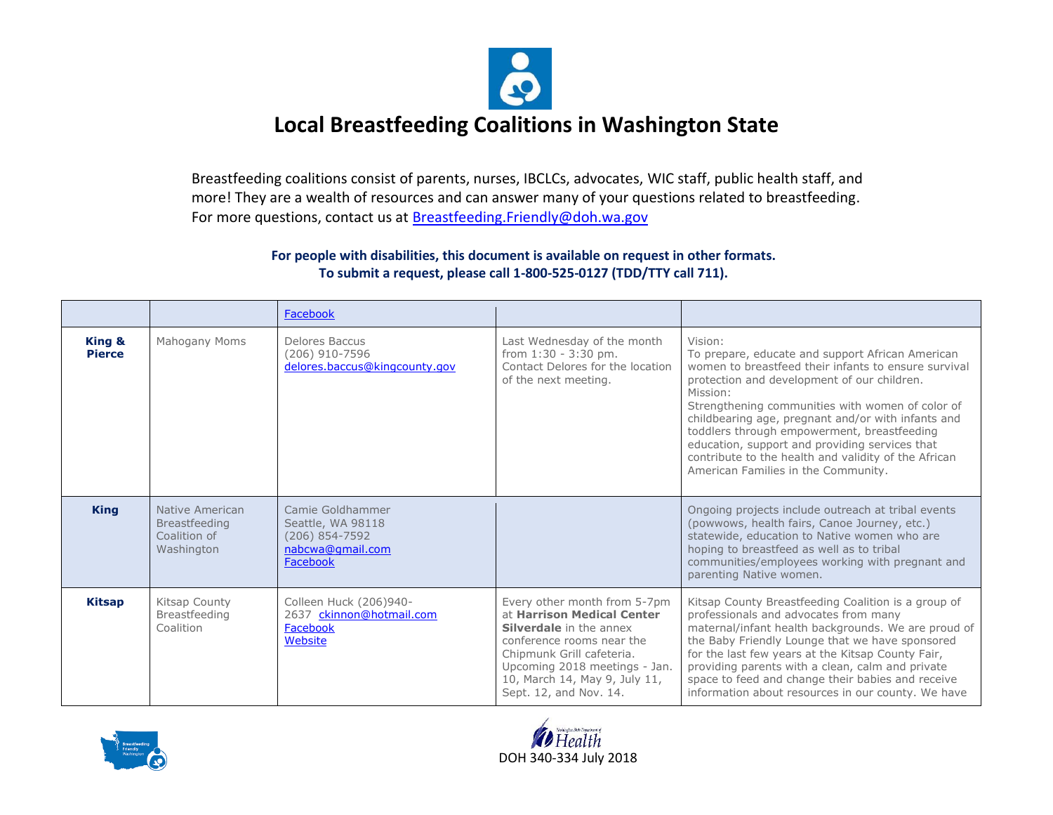

Breastfeeding coalitions consist of parents, nurses, IBCLCs, advocates, WIC staff, public health staff, and more! They are a wealth of resources and can answer many of your questions related to breastfeeding. For more questions, contact us at Breastfeeding. Friendly@doh.wa.gov

|                         |                                                                       | Facebook                                                                                  |                                                                                                                                                                                                                                                    |                                                                                                                                                                                                                                                                                                                                                                                                                                                                                          |
|-------------------------|-----------------------------------------------------------------------|-------------------------------------------------------------------------------------------|----------------------------------------------------------------------------------------------------------------------------------------------------------------------------------------------------------------------------------------------------|------------------------------------------------------------------------------------------------------------------------------------------------------------------------------------------------------------------------------------------------------------------------------------------------------------------------------------------------------------------------------------------------------------------------------------------------------------------------------------------|
| King &<br><b>Pierce</b> | Mahogany Moms                                                         | Delores Baccus<br>(206) 910-7596<br>delores.baccus@kingcounty.gov                         | Last Wednesday of the month<br>from $1:30 - 3:30$ pm.<br>Contact Delores for the location<br>of the next meeting.                                                                                                                                  | Vision:<br>To prepare, educate and support African American<br>women to breastfeed their infants to ensure survival<br>protection and development of our children.<br>Mission:<br>Strengthening communities with women of color of<br>childbearing age, pregnant and/or with infants and<br>toddlers through empowerment, breastfeeding<br>education, support and providing services that<br>contribute to the health and validity of the African<br>American Families in the Community. |
| <b>King</b>             | Native American<br><b>Breastfeeding</b><br>Coalition of<br>Washington | Camie Goldhammer<br>Seattle, WA 98118<br>$(206)$ 854-7592<br>nabcwa@gmail.com<br>Facebook |                                                                                                                                                                                                                                                    | Ongoing projects include outreach at tribal events<br>(powwows, health fairs, Canoe Journey, etc.)<br>statewide, education to Native women who are<br>hoping to breastfeed as well as to tribal<br>communities/employees working with pregnant and<br>parenting Native women.                                                                                                                                                                                                            |
| <b>Kitsap</b>           | Kitsap County<br>Breastfeeding<br>Coalition                           | Colleen Huck (206)940-<br>2637 ckinnon@hotmail.com<br>Facebook<br>Website                 | Every other month from 5-7pm<br>at Harrison Medical Center<br><b>Silverdale</b> in the annex<br>conference rooms near the<br>Chipmunk Grill cafeteria.<br>Upcoming 2018 meetings - Jan.<br>10, March 14, May 9, July 11,<br>Sept. 12, and Nov. 14. | Kitsap County Breastfeeding Coalition is a group of<br>professionals and advocates from many<br>maternal/infant health backgrounds. We are proud of<br>the Baby Friendly Lounge that we have sponsored<br>for the last few years at the Kitsap County Fair,<br>providing parents with a clean, calm and private<br>space to feed and change their babies and receive<br>information about resources in our county. We have                                                               |



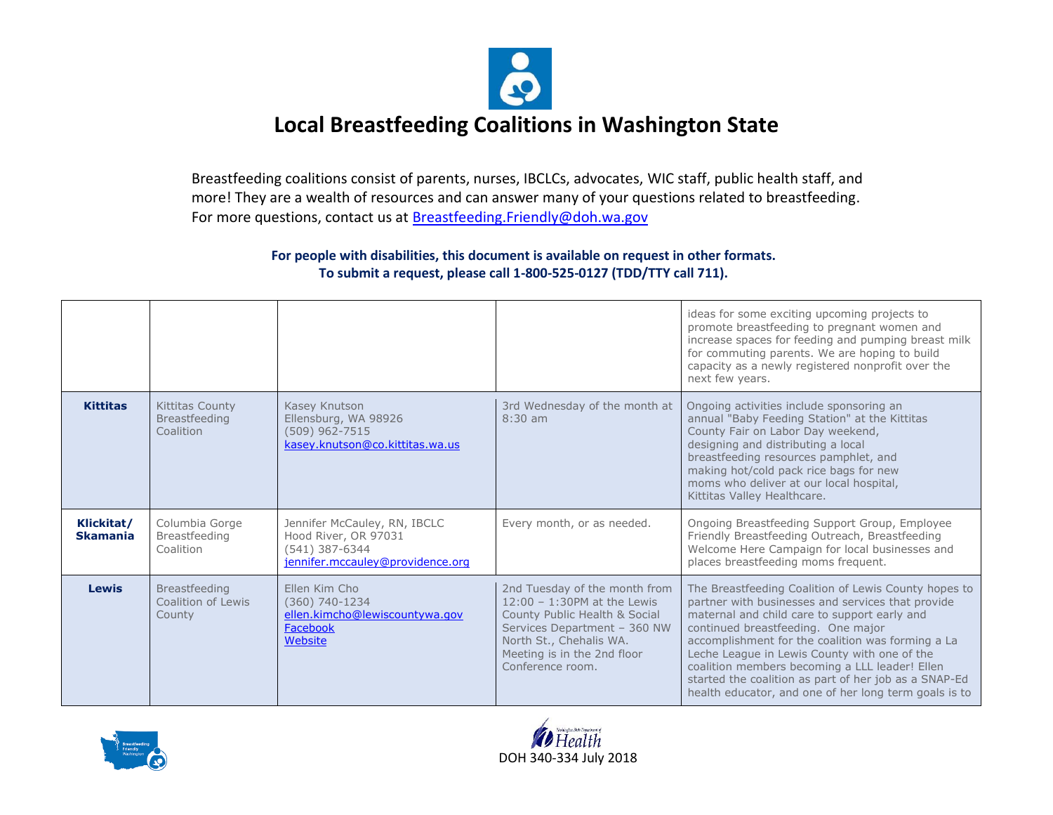

Breastfeeding coalitions consist of parents, nurses, IBCLCs, advocates, WIC staff, public health staff, and more! They are a wealth of resources and can answer many of your questions related to breastfeeding. For more questions, contact us at Breastfeeding. Friendly@doh.wa.gov

|                               |                                                      |                                                                                                            |                                                                                                                                                                                                                | ideas for some exciting upcoming projects to<br>promote breastfeeding to pregnant women and<br>increase spaces for feeding and pumping breast milk<br>for commuting parents. We are hoping to build<br>capacity as a newly registered nonprofit over the<br>next few years.                                                                                                                                                                                              |
|-------------------------------|------------------------------------------------------|------------------------------------------------------------------------------------------------------------|----------------------------------------------------------------------------------------------------------------------------------------------------------------------------------------------------------------|--------------------------------------------------------------------------------------------------------------------------------------------------------------------------------------------------------------------------------------------------------------------------------------------------------------------------------------------------------------------------------------------------------------------------------------------------------------------------|
| <b>Kittitas</b>               | Kittitas County<br><b>Breastfeeding</b><br>Coalition | Kasey Knutson<br>Ellensburg, WA 98926<br>(509) 962-7515<br>kasey.knutson@co.kittitas.wa.us                 | 3rd Wednesday of the month at<br>$8:30$ am                                                                                                                                                                     | Ongoing activities include sponsoring an<br>annual "Baby Feeding Station" at the Kittitas<br>County Fair on Labor Day weekend,<br>designing and distributing a local<br>breastfeeding resources pamphlet, and<br>making hot/cold pack rice bags for new<br>moms who deliver at our local hospital,<br>Kittitas Valley Healthcare.                                                                                                                                        |
| Klickitat/<br><b>Skamania</b> | Columbia Gorge<br><b>Breastfeeding</b><br>Coalition  | Jennifer McCauley, RN, IBCLC<br>Hood River, OR 97031<br>(541) 387-6344<br>jennifer.mccauley@providence.org | Every month, or as needed.                                                                                                                                                                                     | Ongoing Breastfeeding Support Group, Employee<br>Friendly Breastfeeding Outreach, Breastfeeding<br>Welcome Here Campaign for local businesses and<br>places breastfeeding moms frequent.                                                                                                                                                                                                                                                                                 |
| <b>Lewis</b>                  | Breastfeeding<br>Coalition of Lewis<br>County        | Ellen Kim Cho<br>$(360)$ 740-1234<br>ellen.kimcho@lewiscountywa.gov<br>Facebook<br>Website                 | 2nd Tuesday of the month from<br>$12:00 - 1:30$ PM at the Lewis<br>County Public Health & Social<br>Services Department - 360 NW<br>North St., Chehalis WA.<br>Meeting is in the 2nd floor<br>Conference room. | The Breastfeeding Coalition of Lewis County hopes to<br>partner with businesses and services that provide<br>maternal and child care to support early and<br>continued breastfeeding. One major<br>accomplishment for the coalition was forming a La<br>Leche League in Lewis County with one of the<br>coalition members becoming a LLL leader! Ellen<br>started the coalition as part of her job as a SNAP-Ed<br>health educator, and one of her long term goals is to |



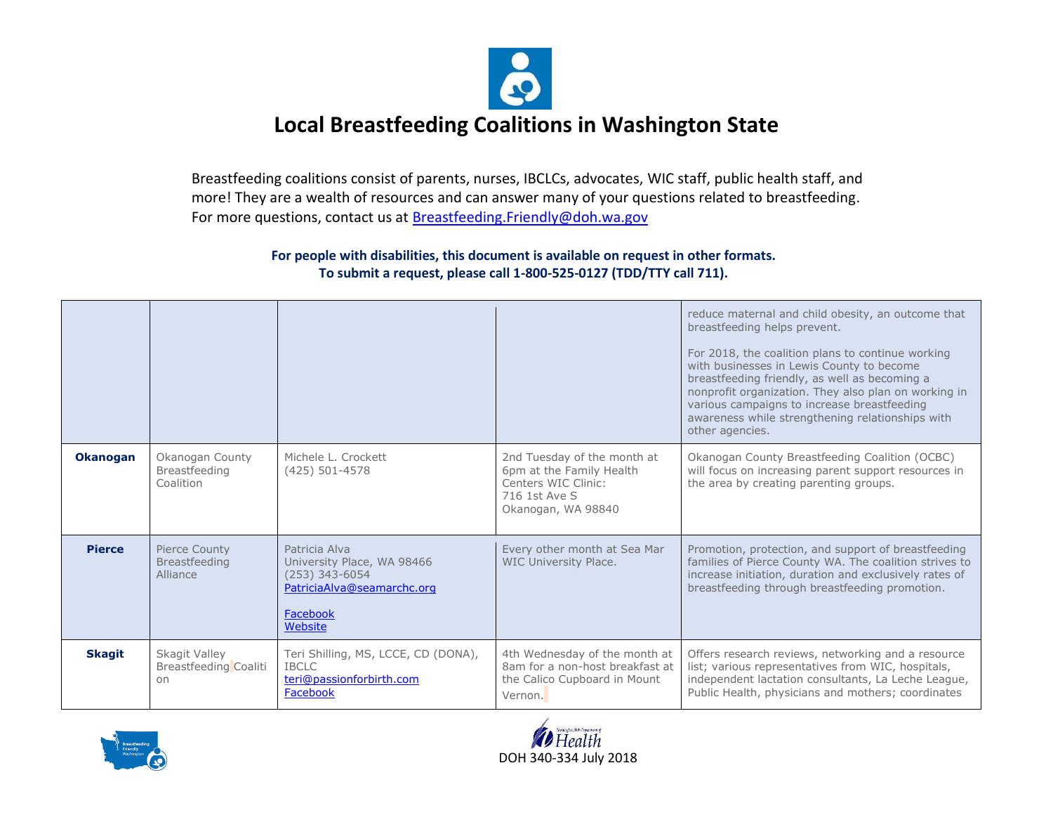

Breastfeeding coalitions consist of parents, nurses, IBCLCs, advocates, WIC staff, public health staff, and more! They are a wealth of resources and can answer many of your questions related to breastfeeding. For more questions, contact us at Breastfeeding. Friendly@doh.wa.gov

|                 |                                                     |                                                                                                                      |                                                                                                                       | reduce maternal and child obesity, an outcome that<br>breastfeeding helps prevent.<br>For 2018, the coalition plans to continue working<br>with businesses in Lewis County to become<br>breastfeeding friendly, as well as becoming a<br>nonprofit organization. They also plan on working in<br>various campaigns to increase breastfeeding<br>awareness while strengthening relationships with<br>other agencies. |
|-----------------|-----------------------------------------------------|----------------------------------------------------------------------------------------------------------------------|-----------------------------------------------------------------------------------------------------------------------|---------------------------------------------------------------------------------------------------------------------------------------------------------------------------------------------------------------------------------------------------------------------------------------------------------------------------------------------------------------------------------------------------------------------|
| <b>Okanogan</b> | Okanogan County<br>Breastfeeding<br>Coalition       | Michele L. Crockett<br>$(425)$ 501-4578                                                                              | 2nd Tuesday of the month at<br>6pm at the Family Health<br>Centers WIC Clinic:<br>716 1st Ave S<br>Okanogan, WA 98840 | Okanogan County Breastfeeding Coalition (OCBC)<br>will focus on increasing parent support resources in<br>the area by creating parenting groups.                                                                                                                                                                                                                                                                    |
| <b>Pierce</b>   | Pierce County<br><b>Breastfeeding</b><br>Alliance   | Patricia Alva<br>University Place, WA 98466<br>$(253)$ 343-6054<br>PatriciaAlva@seamarchc.org<br>Facebook<br>Website | Every other month at Sea Mar<br><b>WIC University Place.</b>                                                          | Promotion, protection, and support of breastfeeding<br>families of Pierce County WA. The coalition strives to<br>increase initiation, duration and exclusively rates of<br>breastfeeding through breastfeeding promotion.                                                                                                                                                                                           |
| <b>Skagit</b>   | Skagit Valley<br><b>Breastfeeding Coaliti</b><br>on | Teri Shilling, MS, LCCE, CD (DONA),<br><b>IBCLC</b><br>teri@passionforbirth.com<br>Facebook                          | 4th Wednesday of the month at<br>8am for a non-host breakfast at<br>the Calico Cupboard in Mount<br>Vernon.           | Offers research reviews, networking and a resource<br>list; various representatives from WIC, hospitals,<br>independent lactation consultants, La Leche League,<br>Public Health, physicians and mothers; coordinates                                                                                                                                                                                               |



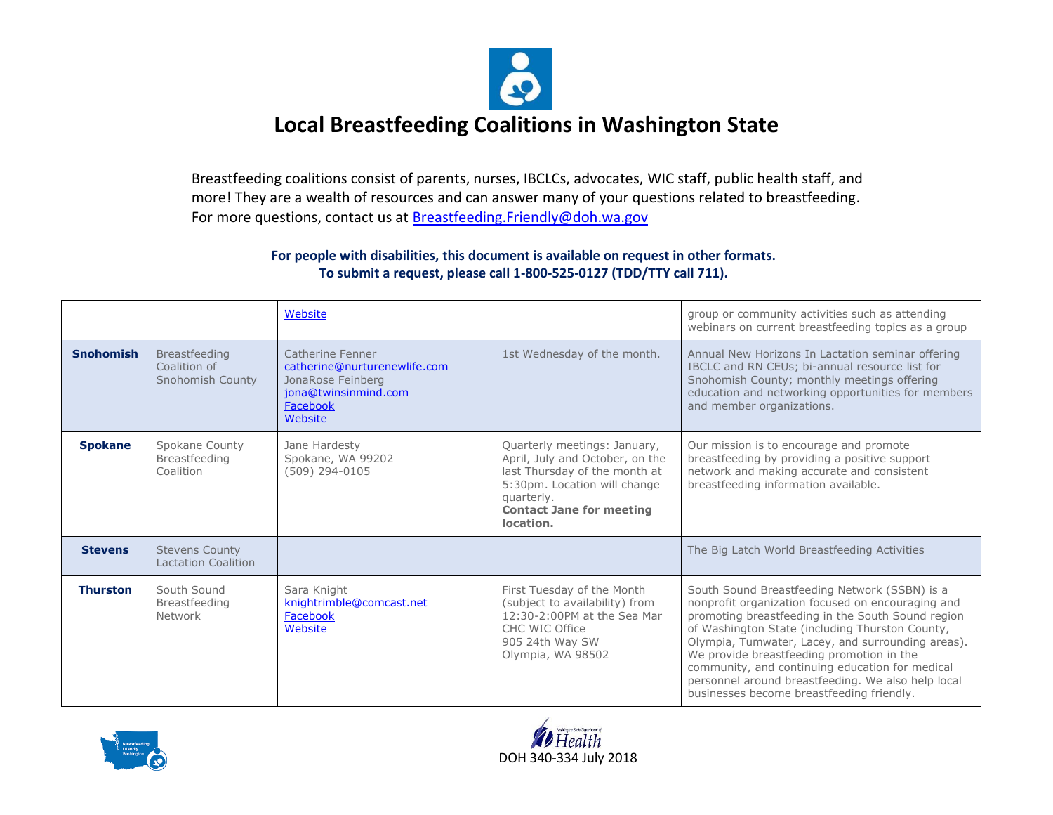

Breastfeeding coalitions consist of parents, nurses, IBCLCs, advocates, WIC staff, public health staff, and more! They are a wealth of resources and can answer many of your questions related to breastfeeding. For more questions, contact us at Breastfeeding. Friendly@doh.wa.gov

|                  |                                                          | Website                                                                                                              |                                                                                                                                                                                                | group or community activities such as attending<br>webinars on current breastfeeding topics as a group                                                                                                                                                                                                                                                                                                                                                             |
|------------------|----------------------------------------------------------|----------------------------------------------------------------------------------------------------------------------|------------------------------------------------------------------------------------------------------------------------------------------------------------------------------------------------|--------------------------------------------------------------------------------------------------------------------------------------------------------------------------------------------------------------------------------------------------------------------------------------------------------------------------------------------------------------------------------------------------------------------------------------------------------------------|
| <b>Snohomish</b> | <b>Breastfeeding</b><br>Coalition of<br>Snohomish County | Catherine Fenner<br>catherine@nurturenewlife.com<br>JonaRose Feinberg<br>iona@twinsinmind.com<br>Facebook<br>Website | 1st Wednesday of the month.                                                                                                                                                                    | Annual New Horizons In Lactation seminar offering<br>IBCLC and RN CEUs; bi-annual resource list for<br>Snohomish County; monthly meetings offering<br>education and networking opportunities for members<br>and member organizations.                                                                                                                                                                                                                              |
| <b>Spokane</b>   | Spokane County<br>Breastfeeding<br>Coalition             | Jane Hardesty<br>Spokane, WA 99202<br>$(509)$ 294-0105                                                               | Quarterly meetings: January,<br>April, July and October, on the<br>last Thursday of the month at<br>5:30pm. Location will change<br>quarterly.<br><b>Contact Jane for meeting</b><br>location. | Our mission is to encourage and promote<br>breastfeeding by providing a positive support<br>network and making accurate and consistent<br>breastfeeding information available.                                                                                                                                                                                                                                                                                     |
| <b>Stevens</b>   | <b>Stevens County</b><br><b>Lactation Coalition</b>      |                                                                                                                      |                                                                                                                                                                                                | The Big Latch World Breastfeeding Activities                                                                                                                                                                                                                                                                                                                                                                                                                       |
| <b>Thurston</b>  | South Sound<br>Breastfeeding<br>Network                  | Sara Knight<br>knightrimble@comcast.net<br>Facebook<br>Website                                                       | First Tuesday of the Month<br>(subject to availability) from<br>12:30-2:00PM at the Sea Mar<br>CHC WIC Office<br>905 24th Way SW<br>Olympia, WA 98502                                          | South Sound Breastfeeding Network (SSBN) is a<br>nonprofit organization focused on encouraging and<br>promoting breastfeeding in the South Sound region<br>of Washington State (including Thurston County,<br>Olympia, Tumwater, Lacey, and surrounding areas).<br>We provide breastfeeding promotion in the<br>community, and continuing education for medical<br>personnel around breastfeeding. We also help local<br>businesses become breastfeeding friendly. |